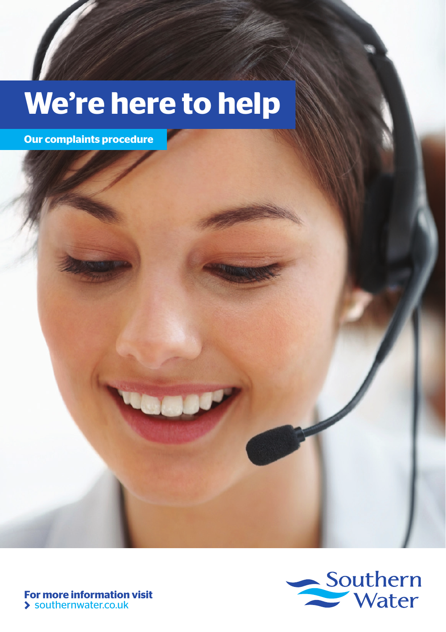# **We're here to help**

**Our complaints procedure**



**For more information visit** southernwater.co.uk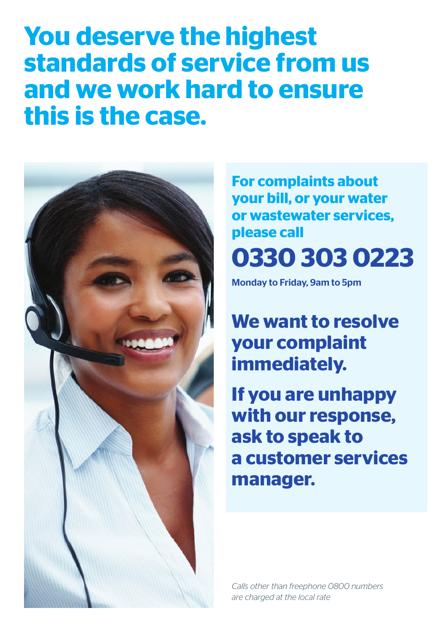# **You deserve the highest standards of service from us and we work hard to ensure this is the case.**



**For complaints about your bill, or your water or wastewater services, please call 0330 303 0223** 

Monday to Friday, 9am to 5pm

**We want to resolve your complaint immediately.** 

**If you are unhappy with our response, ask to speak to a customer services manager.**

*Calls other than freephone 0800 numbers are charged at the local rate*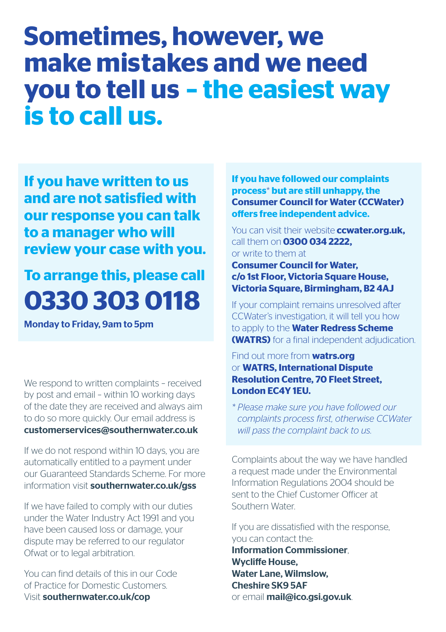## **Sometimes, however, we make mistakes and we need you to tell us – the easiest way is to call us.**

**If you have written to us and are not satisfied with our response you can talk to a manager who will review your case with you.** 

### **To arrange this, please call 0330 303 0118**

Monday to Friday, 9am to 5pm

We respond to written complaints - received by post and email – within 10 working days of the date they are received and always aim to do so more quickly. Our email address is customerservices@southernwater.co.uk

If we do not respond within 10 days, you are automatically entitled to a payment under our Guaranteed Standards Scheme. For more information visit southernwater.co.uk/gss

If we have failed to comply with our duties under the Water Industry Act 1991 and you have been caused loss or damage, your dispute may be referred to our regulator Ofwat or to legal arbitration.

You can find details of this in our Code of Practice for Domestic Customers. Visit southernwater.co.uk/cop

**If you have followed our complaints process**\* **but are still unhappy, the Consumer Council for Water (CCWater) offers free independent advice.** 

You can visit their website **ccwater.org.uk,**  call them on **0300 034 2222,**  or write to them at **Consumer Council for Water, c/o 1st Floor, Victoria Square House, Victoria Square, Birmingham, B2 4AJ**

If your complaint remains unresolved after CCWater's investigation, it will tell you how to apply to the **Water Redress Scheme (WATRS)** for a final independent adjudication.

#### Find out more from **watrs.org** or **WATRS, International Dispute Resolution Centre, 70 Fleet Street, London EC4Y 1EU.**

*\* Please make sure you have followed our complaints process first, otherwise CCWater will pass the complaint back to us.*

Complaints about the way we have handled a request made under the Environmental Information Regulations 2004 should be sent to the Chief Customer Officer at Southern Water.

If you are dissatisfied with the response, you can contact the:

Information Commissioner, Wycliffe House, Water Lane, Wilmslow, Cheshire SK9 5AF or email mail@ico.gsi.gov.uk.